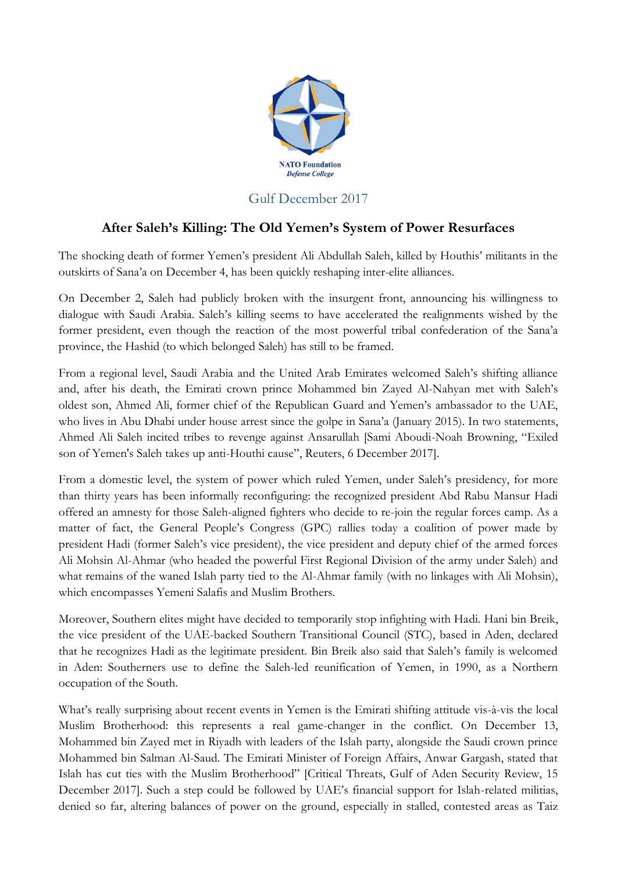

## Gulf December 2017

## **After Saleh's Killing: The Old Yemen's System of Power Resurfaces**

The shocking death of former Yemen's president Ali Abdullah Saleh, killed by Houthis' militants in the outskirts of Sana'a on December 4, has been quickly reshaping inter-elite alliances.

On December 2, Saleh had publicly broken with the insurgent front, announcing his willingness to dialogue with Saudi Arabia. Saleh's killing seems to have accelerated the realignments wished by the former president, even though the reaction of the most powerful tribal confederation of the Sana'a province, the Hashid (to which belonged Saleh) has still to be framed.

From a regional level, Saudi Arabia and the United Arab Emirates welcomed Saleh's shifting alliance and, after his death, the Emirati crown prince Mohammed bin Zayed Al-Nahyan met with Saleh's oldest son, Ahmed Ali, former chief of the Republican Guard and Yemen's ambassador to the UAE, who lives in Abu Dhabi under house arrest since the golpe in Sana'a (January 2015). In two statements, Ahmed Ali Saleh incited tribes to revenge against Ansarullah [Sami Aboudi-Noah Browning, "Exiled son of Yemen's Saleh takes up anti-Houthi cause", Reuters, 6 December 2017].

From a domestic level, the system of power which ruled Yemen, under Saleh's presidency, for more than thirty years has been informally reconfiguring: the recognized president Abd Rabu Mansur Hadi offered an amnesty for those Saleh-aligned fighters who decide to re-join the regular forces camp. As a matter of fact, the General People's Congress (GPC) rallies today a coalition of power made by president Hadi (former Saleh's vice president), the vice president and deputy chief of the armed forces Ali Mohsin Al-Ahmar (who headed the powerful First Regional Division of the army under Saleh) and what remains of the waned Islah party tied to the Al-Ahmar family (with no linkages with Ali Mohsin), which encompasses Yemeni Salafis and Muslim Brothers.

Moreover, Southern elites might have decided to temporarily stop infighting with Hadi. Hani bin Breik, the vice president of the UAE-backed Southern Transitional Council (STC), based in Aden, declared that he recognizes Hadi as the legitimate president. Bin Breik also said that Saleh's family is welcomed in Aden: Southerners use to define the Saleh-led reunification of Yemen, in 1990, as a Northern occupation of the South.

What's really surprising about recent events in Yemen is the Emirati shifting attitude vis-à-vis the local Muslim Brotherhood: this represents a real game-changer in the conflict. On December 13, Mohammed bin Zayed met in Riyadh with leaders of the Islah party, alongside the Saudi crown prince Mohammed bin Salman Al-Saud. The Emirati Minister of Foreign Affairs, Anwar Gargash, stated that Islah has cut ties with the Muslim Brotherhood" [Critical Threats, Gulf of Aden Security Review, 15 December 2017]. Such a step could be followed by UAE's financial support for Islah-related militias, denied so far, altering balances of power on the ground, especially in stalled, contested areas as Taiz